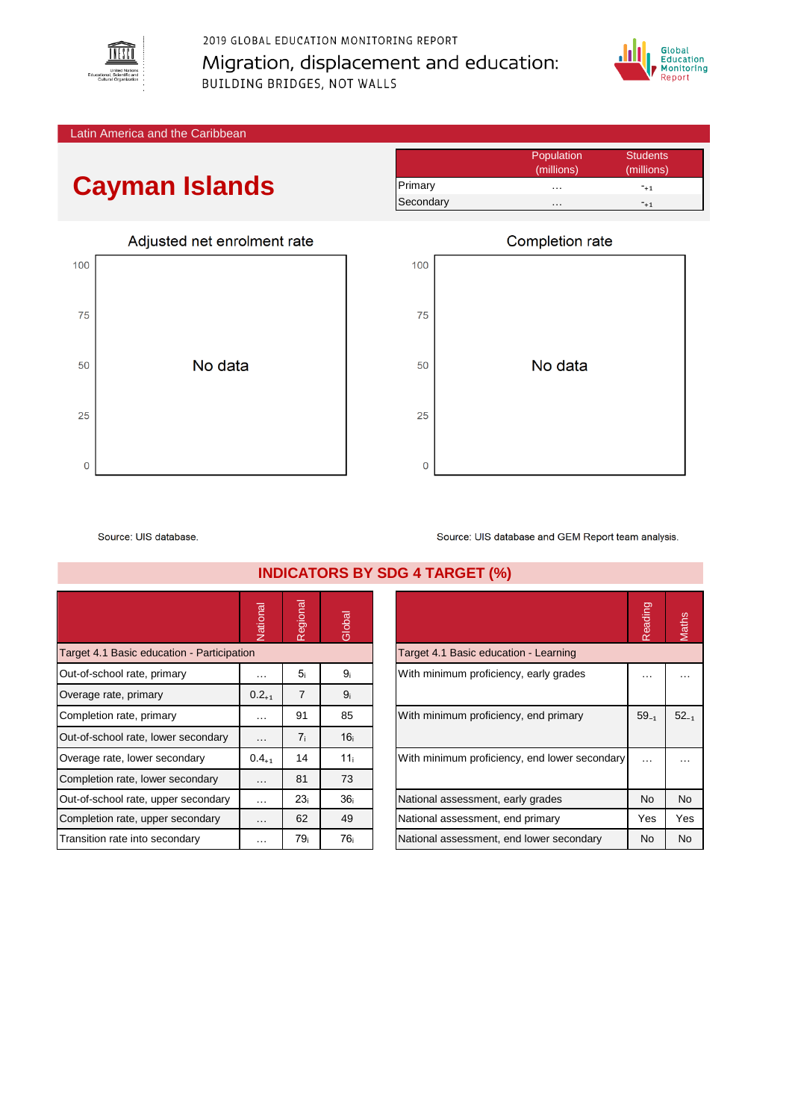

2019 GLOBAL EDUCATION MONITORING REPORT Migration, displacement and education: BUILDING BRIDGES, NOT WALLS



Latin America and the Caribbean

## **Cayman Islands**



|           | Population | <b>Students</b> |
|-----------|------------|-----------------|
|           | (millions) | (millions)      |
| Primary   | .          | $-+1$           |
| Secondary | .          | $-11$           |



Source: UIS database.

|                                            | Vational   | Regional        | Global          |                                          |                                               | Reading   | Maths     |
|--------------------------------------------|------------|-----------------|-----------------|------------------------------------------|-----------------------------------------------|-----------|-----------|
| Target 4.1 Basic education - Participation |            |                 |                 | Target 4.1 Basic education - Learning    |                                               |           |           |
| Out-of-school rate, primary                | $\cdots$   | 5 <sub>i</sub>  | 9 <sub>i</sub>  | With minimum proficiency, early grades   |                                               | $\cdots$  | $\cdots$  |
| Overage rate, primary                      | $0.2_{+1}$ | $\overline{7}$  | 9 <sub>i</sub>  |                                          |                                               |           |           |
| Completion rate, primary                   | $\cdots$   | 91              | 85              | With minimum proficiency, end primary    |                                               | $59_{-1}$ | $52_{-1}$ |
| Out-of-school rate, lower secondary        | $\cdots$   | 7 <sub>i</sub>  | 16 <sub>i</sub> |                                          |                                               |           |           |
| Overage rate, lower secondary              | $0.4_{+1}$ | 14              | 11 <sub>i</sub> |                                          | With minimum proficiency, end lower secondary | $\cdots$  |           |
| Completion rate, lower secondary           | $\cdots$   | 81              | 73              |                                          |                                               |           |           |
| Out-of-school rate, upper secondary        | $\cdots$   | 23 <sub>i</sub> | 36 <sub>i</sub> | National assessment, early grades        |                                               | No        | <b>No</b> |
| Completion rate, upper secondary           | $\cdots$   | 62              | 49              | National assessment, end primary         |                                               | Yes       | Yes       |
| Transition rate into secondary             | $\cdots$   | 79 <sub>i</sub> | 76 <sub>i</sub> | National assessment, end lower secondary |                                               | No.       | <b>No</b> |

**INDICATORS BY SDG 4 TARGET (%)**

|                                               | Reading   | lath <sub>s</sub> |
|-----------------------------------------------|-----------|-------------------|
| Target 4.1 Basic education - Learning         |           |                   |
| With minimum proficiency, early grades        |           |                   |
| With minimum proficiency, end primary         | $59_{-1}$ | $52_{-1}$         |
| With minimum proficiency, end lower secondary |           |                   |
| National assessment, early grades             | <b>No</b> | <b>No</b>         |
| National assessment, end primary              | Yes       | Yes               |
| National assessment, end lower secondary      | No        | No                |
|                                               |           |                   |

Source: UIS database and GEM Report team analysis.